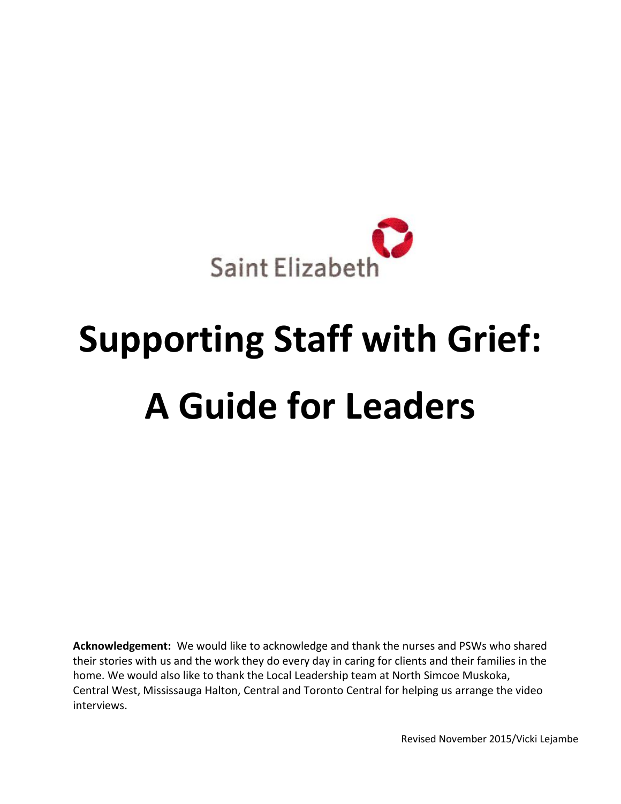

# **Supporting Staff with Grief: A Guide for Leaders**

**Acknowledgement:** We would like to acknowledge and thank the nurses and PSWs who shared their stories with us and the work they do every day in caring for clients and their families in the home. We would also like to thank the Local Leadership team at North Simcoe Muskoka, Central West, Mississauga Halton, Central and Toronto Central for helping us arrange the video interviews.

Revised November 2015/Vicki Lejambe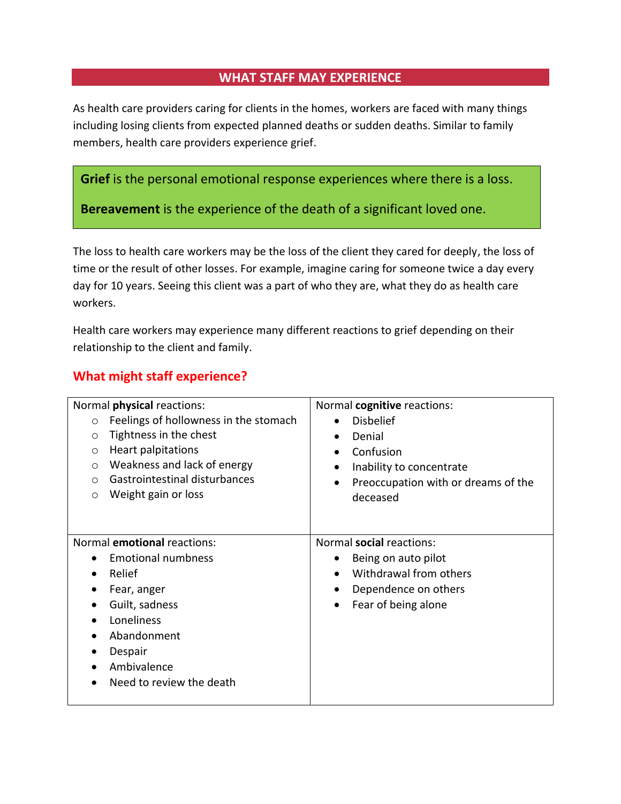## **WHAT STAFF MAY EXPERIENCE**

As health care providers caring for clients in the homes, workers are faced with many things including losing clients from expected planned deaths or sudden deaths. Similar to family members, health care providers experience grief.

**Grief** is the personal emotional response experiences where there is a loss.

**Bereavement** is the experience of the death of a significant loved one.

The loss to health care workers may be the loss of the client they cared for deeply, the loss of time or the result of other losses. For example, imagine caring for someone twice a day every day for 10 years. Seeing this client was a part of who they are, what they do as health care workers.

Health care workers may experience many different reactions to grief depending on their relationship to the client and family.

# **What might staff experience?**

| Normal <i>physical</i> reactions:                                                                                                                                                                                                              | Normal cognitive reactions:                                                                                                                                                             |
|------------------------------------------------------------------------------------------------------------------------------------------------------------------------------------------------------------------------------------------------|-----------------------------------------------------------------------------------------------------------------------------------------------------------------------------------------|
| Feelings of hollowness in the stomach<br>$\circ$<br>Tightness in the chest<br>$\circ$<br>Heart palpitations<br>$\circ$<br>Weakness and lack of energy<br>$\circ$<br>Gastrointestinal disturbances<br>$\circ$<br>Weight gain or loss<br>$\circ$ | <b>Disbelief</b><br>$\bullet$<br>Denial<br>$\bullet$<br>Confusion<br>$\bullet$<br>Inability to concentrate<br>$\bullet$<br>Preoccupation with or dreams of the<br>$\bullet$<br>deceased |
| Normal emotional reactions:<br><b>Emotional numbness</b><br>Relief<br>Fear, anger<br>Guilt, sadness<br>Loneliness<br>Abandonment<br>Despair<br>Ambivalence<br>Need to review the death                                                         | Normal social reactions:<br>Being on auto pilot<br>Withdrawal from others<br>$\bullet$<br>Dependence on others<br>$\bullet$<br>Fear of being alone<br>$\bullet$                         |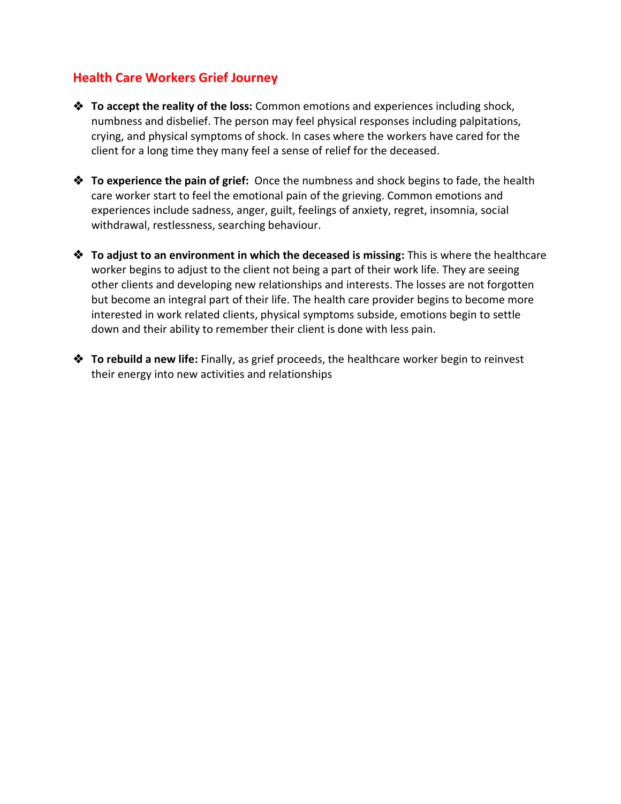## **Health Care Workers Grief Journey**

- **To accept the reality of the loss:** Common emotions and experiences including shock, numbness and disbelief. The person may feel physical responses including palpitations, crying, and physical symptoms of shock. In cases where the workers have cared for the client for a long time they many feel a sense of relief for the deceased.
- **To experience the pain of grief:** Once the numbness and shock begins to fade, the health care worker start to feel the emotional pain of the grieving. Common emotions and experiences include sadness, anger, guilt, feelings of anxiety, regret, insomnia, social withdrawal, restlessness, searching behaviour.
- **<sup>❖</sup> To adjust to an environment in which the deceased is missing:** This is where the healthcare worker begins to adjust to the client not being a part of their work life. They are seeing other clients and developing new relationships and interests. The losses are not forgotten but become an integral part of their life. The health care provider begins to become more interested in work related clients, physical symptoms subside, emotions begin to settle down and their ability to remember their client is done with less pain.
- **To rebuild a new life:** Finally, as grief proceeds, the healthcare worker begin to reinvest their energy into new activities and relationships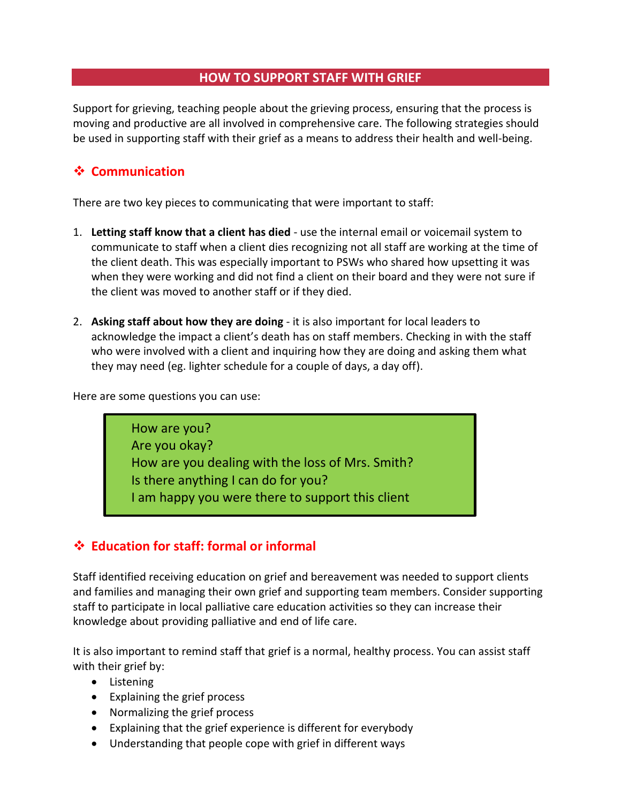## **HOW TO SUPPORT STAFF WITH GRIEF**

Support for grieving, teaching people about the grieving process, ensuring that the process is moving and productive are all involved in comprehensive care. The following strategies should be used in supporting staff with their grief as a means to address their health and well-being.

# **☆ Communication**

There are two key pieces to communicating that were important to staff:

- 1. **Letting staff know that a client has died** use the internal email or voicemail system to communicate to staff when a client dies recognizing not all staff are working at the time of the client death. This was especially important to PSWs who shared how upsetting it was when they were working and did not find a client on their board and they were not sure if the client was moved to another staff or if they died.
- 2. **Asking staff about how they are doing** it is also important for local leaders to acknowledge the impact a client's death has on staff members. Checking in with the staff who were involved with a client and inquiring how they are doing and asking them what they may need (eg. lighter schedule for a couple of days, a day off).

Here are some questions you can use:

How are you? Are you okay? How are you dealing with the loss of Mrs. Smith? Is there anything I can do for you? I am happy you were there to support this client

# **Education for staff: formal or informal**

Staff identified receiving education on grief and bereavement was needed to support clients and families and managing their own grief and supporting team members. Consider supporting staff to participate in local palliative care education activities so they can increase their knowledge about providing palliative and end of life care.

It is also important to remind staff that grief is a normal, healthy process. You can assist staff with their grief by:

- Listening
- Explaining the grief process
- Normalizing the grief process
- Explaining that the grief experience is different for everybody
- Understanding that people cope with grief in different ways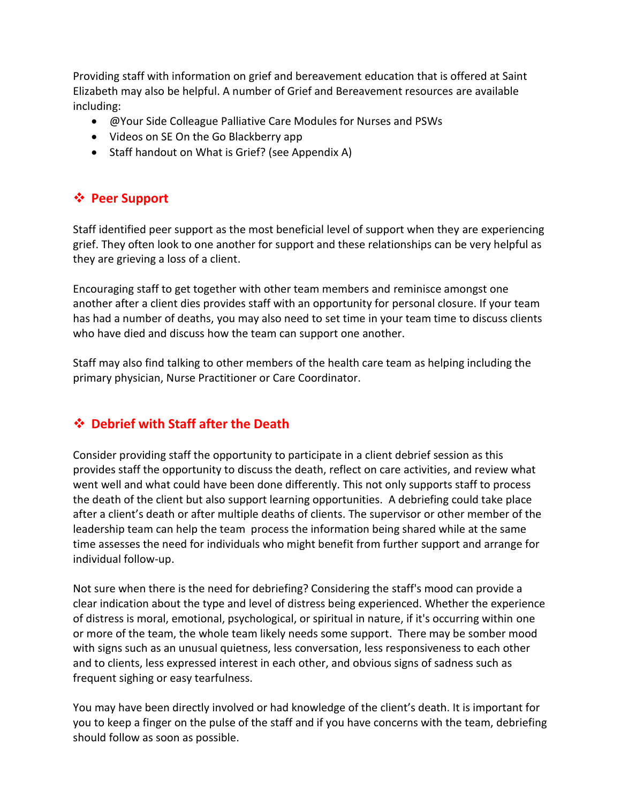Providing staff with information on grief and bereavement education that is offered at Saint Elizabeth may also be helpful. A number of Grief and Bereavement resources are available including:

- @Your Side Colleague Palliative Care Modules for Nurses and PSWs
- Videos on SE On the Go Blackberry app
- Staff handout on What is Grief? (see Appendix A)

## **Peer Support**

Staff identified peer support as the most beneficial level of support when they are experiencing grief. They often look to one another for support and these relationships can be very helpful as they are grieving a loss of a client.

Encouraging staff to get together with other team members and reminisce amongst one another after a client dies provides staff with an opportunity for personal closure. If your team has had a number of deaths, you may also need to set time in your team time to discuss clients who have died and discuss how the team can support one another.

Staff may also find talking to other members of the health care team as helping including the primary physician, Nurse Practitioner or Care Coordinator.

# **Debrief with Staff after the Death**

Consider providing staff the opportunity to participate in a client debrief session as this provides staff the opportunity to discuss the death, reflect on care activities, and review what went well and what could have been done differently. This not only supports staff to process the death of the client but also support learning opportunities. A debriefing could take place after a client's death or after multiple deaths of clients. The supervisor or other member of the leadership team can help the team process the information being shared while at the same time assesses the need for individuals who might benefit from further support and arrange for individual follow-up.

Not sure when there is the need for debriefing? Considering the staff's mood can provide a clear indication about the type and level of distress being experienced. Whether the experience of distress is moral, emotional, psychological, or spiritual in nature, if it's occurring within one or more of the team, the whole team likely needs some support. There may be somber mood with signs such as an unusual quietness, less conversation, less responsiveness to each other and to clients, less expressed interest in each other, and obvious signs of sadness such as frequent sighing or easy tearfulness.

You may have been directly involved or had knowledge of the client's death. It is important for you to keep a finger on the pulse of the staff and if you have concerns with the team, debriefing should follow as soon as possible.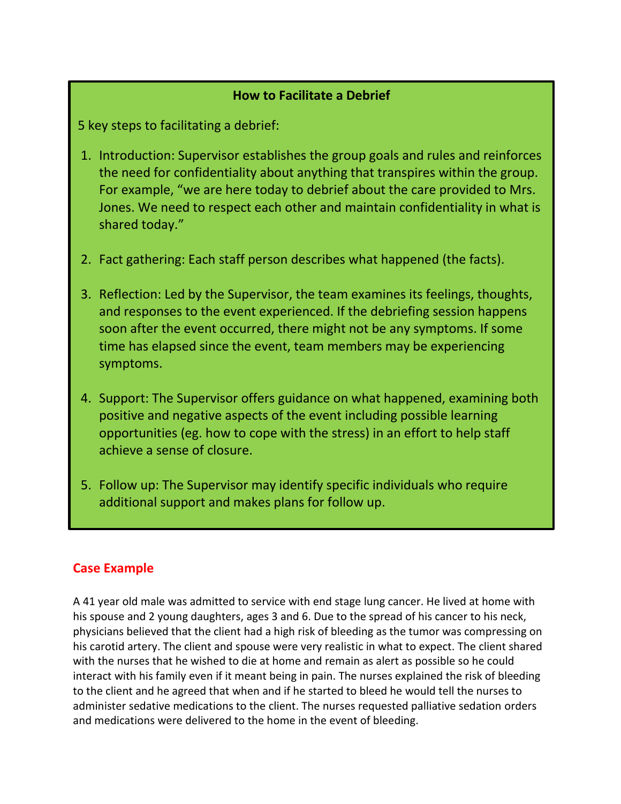#### **How to Facilitate a Debrief**

5 key steps to facilitating a debrief:

- 1. Introduction: Supervisor establishes the group goals and rules and reinforces the need for confidentiality about anything that transpires within the group. For example, "we are here today to debrief about the care provided to Mrs. Jones. We need to respect each other and maintain confidentiality in what is shared today."
- 2. Fact gathering: Each staff person describes what happened (the facts).
- 3. Reflection: Led by the Supervisor, the team examines its feelings, thoughts, and responses to the event experienced. If the debriefing session happens soon after the event occurred, there might not be any symptoms. If some time has elapsed since the event, team members may be experiencing symptoms.
- 4. Support: The Supervisor offers guidance on what happened, examining both positive and negative aspects of the event including possible learning opportunities (eg. how to cope with the stress) in an effort to help staff achieve a sense of closure.
- 5. Follow up: The Supervisor may identify specific individuals who require additional support and makes plans for follow up.

## **Case Example**

A 41 year old male was admitted to service with end stage lung cancer. He lived at home with his spouse and 2 young daughters, ages 3 and 6. Due to the spread of his cancer to his neck, physicians believed that the client had a high risk of bleeding as the tumor was compressing on his carotid artery. The client and spouse were very realistic in what to expect. The client shared with the nurses that he wished to die at home and remain as alert as possible so he could interact with his family even if it meant being in pain. The nurses explained the risk of bleeding to the client and he agreed that when and if he started to bleed he would tell the nurses to administer sedative medications to the client. The nurses requested palliative sedation orders and medications were delivered to the home in the event of bleeding.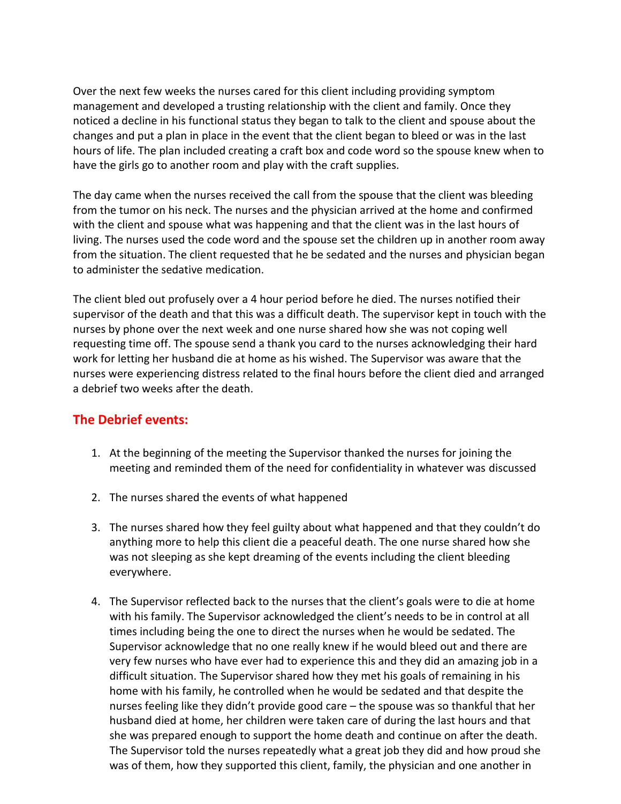Over the next few weeks the nurses cared for this client including providing symptom management and developed a trusting relationship with the client and family. Once they noticed a decline in his functional status they began to talk to the client and spouse about the changes and put a plan in place in the event that the client began to bleed or was in the last hours of life. The plan included creating a craft box and code word so the spouse knew when to have the girls go to another room and play with the craft supplies.

The day came when the nurses received the call from the spouse that the client was bleeding from the tumor on his neck. The nurses and the physician arrived at the home and confirmed with the client and spouse what was happening and that the client was in the last hours of living. The nurses used the code word and the spouse set the children up in another room away from the situation. The client requested that he be sedated and the nurses and physician began to administer the sedative medication.

The client bled out profusely over a 4 hour period before he died. The nurses notified their supervisor of the death and that this was a difficult death. The supervisor kept in touch with the nurses by phone over the next week and one nurse shared how she was not coping well requesting time off. The spouse send a thank you card to the nurses acknowledging their hard work for letting her husband die at home as his wished. The Supervisor was aware that the nurses were experiencing distress related to the final hours before the client died and arranged a debrief two weeks after the death.

## **The Debrief events:**

- 1. At the beginning of the meeting the Supervisor thanked the nurses for joining the meeting and reminded them of the need for confidentiality in whatever was discussed
- 2. The nurses shared the events of what happened
- 3. The nurses shared how they feel guilty about what happened and that they couldn't do anything more to help this client die a peaceful death. The one nurse shared how she was not sleeping as she kept dreaming of the events including the client bleeding everywhere.
- 4. The Supervisor reflected back to the nurses that the client's goals were to die at home with his family. The Supervisor acknowledged the client's needs to be in control at all times including being the one to direct the nurses when he would be sedated. The Supervisor acknowledge that no one really knew if he would bleed out and there are very few nurses who have ever had to experience this and they did an amazing job in a difficult situation. The Supervisor shared how they met his goals of remaining in his home with his family, he controlled when he would be sedated and that despite the nurses feeling like they didn't provide good care – the spouse was so thankful that her husband died at home, her children were taken care of during the last hours and that she was prepared enough to support the home death and continue on after the death. The Supervisor told the nurses repeatedly what a great job they did and how proud she was of them, how they supported this client, family, the physician and one another in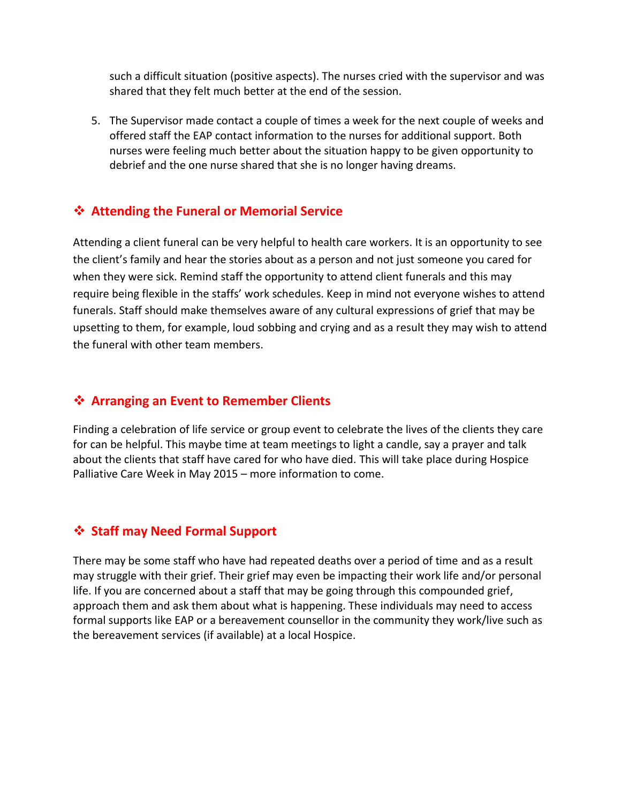such a difficult situation (positive aspects). The nurses cried with the supervisor and was shared that they felt much better at the end of the session.

5. The Supervisor made contact a couple of times a week for the next couple of weeks and offered staff the EAP contact information to the nurses for additional support. Both nurses were feeling much better about the situation happy to be given opportunity to debrief and the one nurse shared that she is no longer having dreams.

## **Attending the Funeral or Memorial Service**

Attending a client funeral can be very helpful to health care workers. It is an opportunity to see the client's family and hear the stories about as a person and not just someone you cared for when they were sick. Remind staff the opportunity to attend client funerals and this may require being flexible in the staffs' work schedules. Keep in mind not everyone wishes to attend funerals. Staff should make themselves aware of any cultural expressions of grief that may be upsetting to them, for example, loud sobbing and crying and as a result they may wish to attend the funeral with other team members.

#### **Arranging an Event to Remember Clients**

Finding a celebration of life service or group event to celebrate the lives of the clients they care for can be helpful. This maybe time at team meetings to light a candle, say a prayer and talk about the clients that staff have cared for who have died. This will take place during Hospice Palliative Care Week in May 2015 – more information to come.

## **Staff may Need Formal Support**

There may be some staff who have had repeated deaths over a period of time and as a result may struggle with their grief. Their grief may even be impacting their work life and/or personal life. If you are concerned about a staff that may be going through this compounded grief, approach them and ask them about what is happening. These individuals may need to access formal supports like EAP or a bereavement counsellor in the community they work/live such as the bereavement services (if available) at a local Hospice.